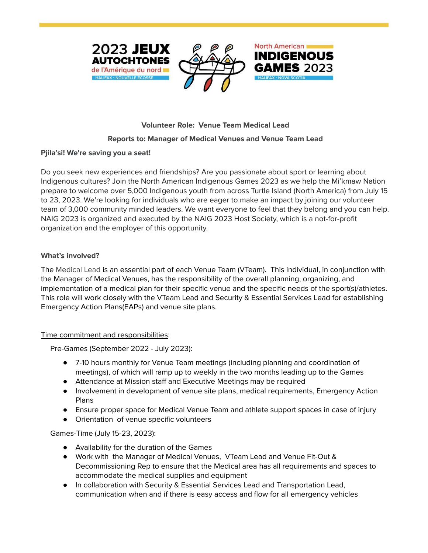



North American

**INDIGENOUS** 

# **Volunteer Role: Venue Team Medical Lead**

## **Reports to: Manager of Medical Venues and Venue Team Lead**

#### **Pjila'si! We're saving you a seat!**

Do you seek new experiences and friendships? Are you passionate about sport or learning about Indigenous cultures? Join the North American Indigenous Games 2023 as we help the Mi'kmaw Nation prepare to welcome over 5,000 Indigenous youth from across Turtle Island (North America) from July 15 to 23, 2023. We're looking for individuals who are eager to make an impact by joining our volunteer team of 3,000 community minded leaders. We want everyone to feel that they belong and you can help. NAIG 2023 is organized and executed by the NAIG 2023 Host Society, which is a not-for-profit organization and the employer of this opportunity.

## **What's involved?**

The Medical Lead is an essential part of each Venue Team (VTeam). This individual, in conjunction with the Manager of Medical Venues, has the responsibility of the overall planning, organizing, and implementation of a medical plan for their specific venue and the specific needs of the sport(s)/athletes. This role will work closely with the VTeam Lead and Security & Essential Services Lead for establishing Emergency Action Plans(EAPs) and venue site plans.

#### Time commitment and responsibilities:

Pre-Games (September 2022 - July 2023):

- 7-10 hours monthly for Venue Team meetings (including planning and coordination of meetings), of which will ramp up to weekly in the two months leading up to the Games
- Attendance at Mission staff and Executive Meetings may be required
- Involvement in development of venue site plans, medical requirements, Emergency Action Plans
- Ensure proper space for Medical Venue Team and athlete support spaces in case of injury
- Orientation of venue specific volunteers

Games-Time (July 15-23, 2023):

- Availability for the duration of the Games
- Work with the Manager of Medical Venues, VTeam Lead and Venue Fit-Out & Decommissioning Rep to ensure that the Medical area has all requirements and spaces to accommodate the medical supplies and equipment
- In collaboration with Security & Essential Services Lead and Transportation Lead, communication when and if there is easy access and flow for all emergency vehicles